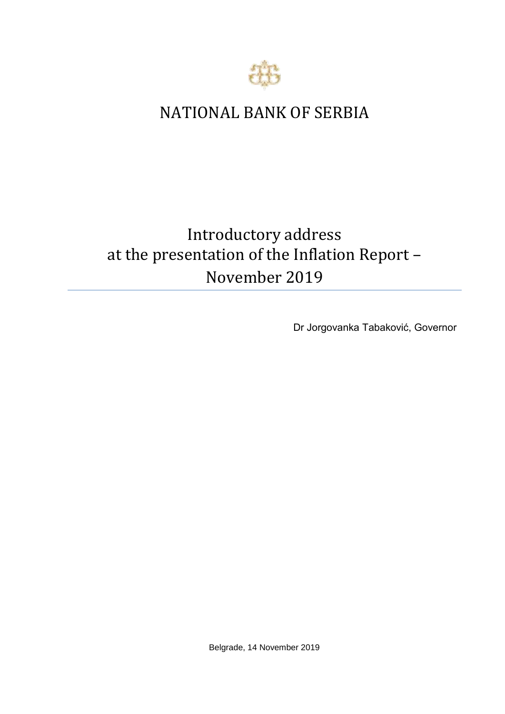

# NATIONAL BANK OF SERBIA

# Introductory address at the presentation of the Inflation Report – November 2019

Dr Jorgovanka Tabaković, Governor

Belgrade, 14 November 2019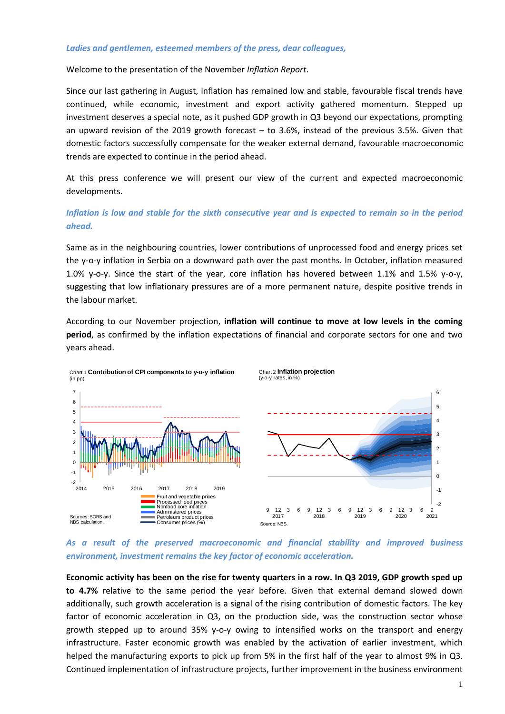#### *Ladies and gentlemen, esteemed members of the press, dear colleagues,*

Welcome to the presentation of the November *Inflation Report*.

Since our last gathering in August, inflation has remained low and stable, favourable fiscal trends have continued, while economic, investment and export activity gathered momentum. Stepped up investment deserves a special note, as it pushed GDP growth in Q3 beyond our expectations, prompting an upward revision of the 2019 growth forecast – to 3.6%, instead of the previous 3.5%. Given that domestic factors successfully compensate for the weaker external demand, favourable macroeconomic trends are expected to continue in the period ahead.

At this press conference we will present our view of the current and expected macroeconomic developments.

# *Inflation is low and stable for the sixth consecutive year and is expected to remain so in the period ahead.*

Same as in the neighbouring countries, lower contributions of unprocessed food and energy prices set the y-o-y inflation in Serbia on a downward path over the past months. In October, inflation measured 1.0% y-o-y. Since the start of the year, core inflation has hovered between 1.1% and 1.5% y-o-y, suggesting that low inflationary pressures are of a more permanent nature, despite positive trends in the labour market.

According to our November projection, **inflation will continue to move at low levels in the coming period**, as confirmed by the inflation expectations of financial and corporate sectors for one and two years ahead.



# *As a result of the preserved macroeconomic and financial stability and improved business environment, investment remains the key factor of economic acceleration.*

**Economic activity has been on the rise for twenty quarters in a row. In Q3 2019, GDP growth sped up to 4.7%** relative to the same period the year before. Given that external demand slowed down additionally, such growth acceleration is a signal of the rising contribution of domestic factors. The key factor of economic acceleration in Q3, on the production side, was the construction sector whose growth stepped up to around 35% y-o-y owing to intensified works on the transport and energy infrastructure. Faster economic growth was enabled by the activation of earlier investment, which helped the manufacturing exports to pick up from 5% in the first half of the year to almost 9% in Q3. Continued implementation of infrastructure projects, further improvement in the business environment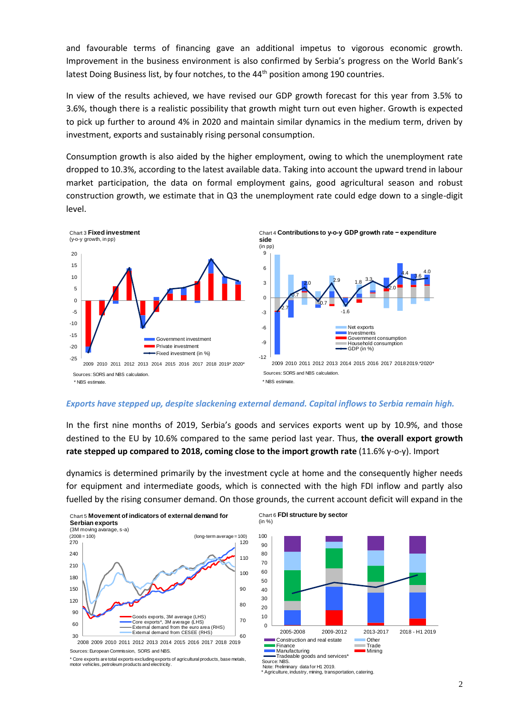and favourable terms of financing gave an additional impetus to vigorous economic growth. Improvement in the business environment is also confirmed by Serbia's progress on the World Bank's latest Doing Business list, by four notches, to the  $44<sup>th</sup>$  position among 190 countries.

In view of the results achieved, we have revised our GDP growth forecast for this year from 3.5% to 3.6%, though there is a realistic possibility that growth might turn out even higher. Growth is expected to pick up further to around 4% in 2020 and maintain similar dynamics in the medium term, driven by investment, exports and sustainably rising personal consumption.

Consumption growth is also aided by the higher employment, owing to which the unemployment rate dropped to 10.3%, according to the latest available data. Taking into account the upward trend in labour market participation, the data on formal employment gains, good agricultural season and robust construction growth, we estimate that in Q3 the unemployment rate could edge down to a single-digit level.



#### *Exports have stepped up, despite slackening external demand. Capital inflows to Serbia remain high.*

In the first nine months of 2019, Serbia's goods and services exports went up by 10.9%, аnd those destined to the EU by 10.6% compared to the same period last year. Thus, **the overall export growth rate stepped up compared to 2018, coming close to the import growth rate** (11.6% y-o-y). Import

dynamics is determined primarily by the investment cycle at home and the consequently higher needs for equipment and intermediate goods, which is connected with the high FDI inflow and partly also fuelled by the rising consumer demand. On those grounds, the current account deficit will expand in the



Sources: European Commission, SORS and NBS.

\* Core exports are total exports excluding exports of agricultural products, base metals, motor vehicles, petroleum products and electricity.



\* Agriculture, industry, mining, transportation, catering.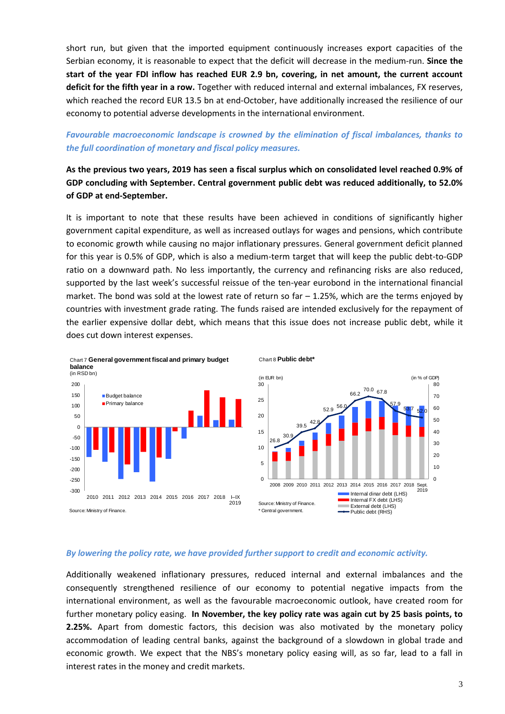short run, but given that the imported equipment continuously increases export capacities of the Serbian economy, it is reasonable to expect that the deficit will decrease in the medium-run. **Since the start of the year FDI inflow has reached EUR 2.9 bn, covering, in net amount, the current account deficit for the fifth year in a row.** Together with reduced internal and external imbalances, FX reserves, which reached the record EUR 13.5 bn at end-October, have additionally increased the resilience of our economy to potential adverse developments in the international environment.

## *Favourable macroeconomic landscape is crowned by the elimination of fiscal imbalances, thanks to the full coordination of monetary and fiscal policy measures.*

# **As the previous two years, 2019 has seen a fiscal surplus which on consolidated level reached 0.9% of GDP concluding with September. Central government public debt was reduced additionally, to 52.0% of GDP at end-September.**

It is important to note that these results have been achieved in conditions of significantly higher government capital expenditure, as well as increased outlays for wages and pensions, which contribute to economic growth while causing no major inflationary pressures. General government deficit planned for this year is 0.5% of GDP, which is also a medium-term target that will keep the public debt-to-GDP ratio on a downward path. No less importantly, the currency and refinancing risks are also reduced, supported by the last week's successful reissue of the ten-year eurobond in the international financial market. The bond was sold at the lowest rate of return so far  $-1.25%$ , which are the terms enjoyed by countries with investment grade rating. The funds raised are intended exclusively for the repayment of the earlier expensive dollar debt, which means that this issue does not increase public debt, while it does cut down interest expenses.



## *By lowering the policy rate, we have provided further support to credit and economic activity.*

Additionally weakened inflationary pressures, reduced internal and external imbalances and the consequently strengthened resilience of our economy to potential negative impacts from the international environment, as well as the favourable macroeconomic outlook, have created room for further monetary policy easing. **In November, the key policy rate was again cut by 25 basis points, to 2.25%.** Apart from domestic factors, this decision was also motivated by the monetary policy accommodation of leading central banks, against the background of a slowdown in global trade and economic growth. We expect that the NBS's monetary policy easing will, as so far, lead to a fall in interest rates in the money and credit markets.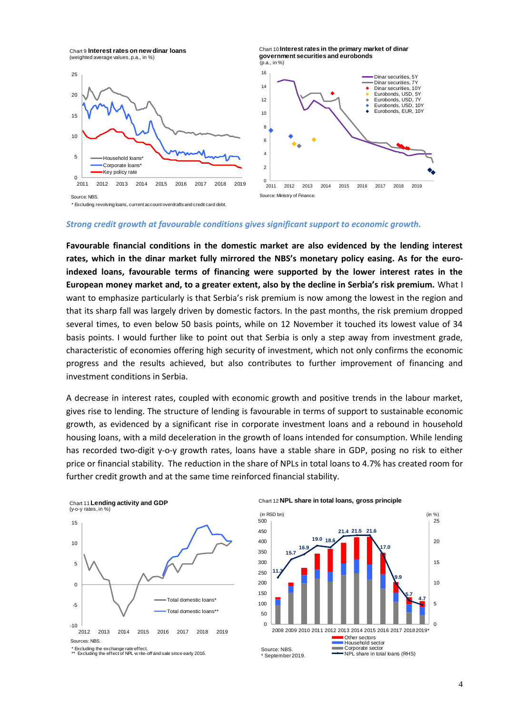Chart 9 **Interest rates on new dinar loans**  (weighted average values, p.a., in %)





\* Excluding revolving loans, current account overdrafts and credit card debt.

#### *Strong credit growth at favourable conditions gives significant support to economic growth.*

**Favourable financial conditions in the domestic market are also evidenced by the lending interest rates, which in the dinar market fully mirrored the NBS's monetary policy easing. As for the euroindexed loans, favourable terms of financing were supported by the lower interest rates in the European money market and, to a greater extent, also by the decline in Serbia's risk premium.** What I want to emphasize particularly is that Serbia's risk premium is now among the lowest in the region and that its sharp fall was largely driven by domestic factors. In the past months, the risk premium dropped several times, to even below 50 basis points, while on 12 November it touched its lowest value of 34 basis points. I would further like to point out that Serbia is only a step away from investment grade, characteristic of economies offering high security of investment, which not only confirms the economic progress and the results achieved, but also contributes to further improvement of financing and investment conditions in Serbia.

A decrease in interest rates, coupled with economic growth and positive trends in the labour market, gives rise to lending. The structure of lending is favourable in terms of support to sustainable economic growth, as evidenced by a significant rise in corporate investment loans and a rebound in household housing loans, with a mild deceleration in the growth of loans intended for consumption. While lending has recorded two-digit y-o-y growth rates, loans have a stable share in GDP, posing no risk to either price or financial stability. The reduction in the share of NPLs in total loans to 4.7% has created room for further credit growth and at the same time reinforced financial stability.